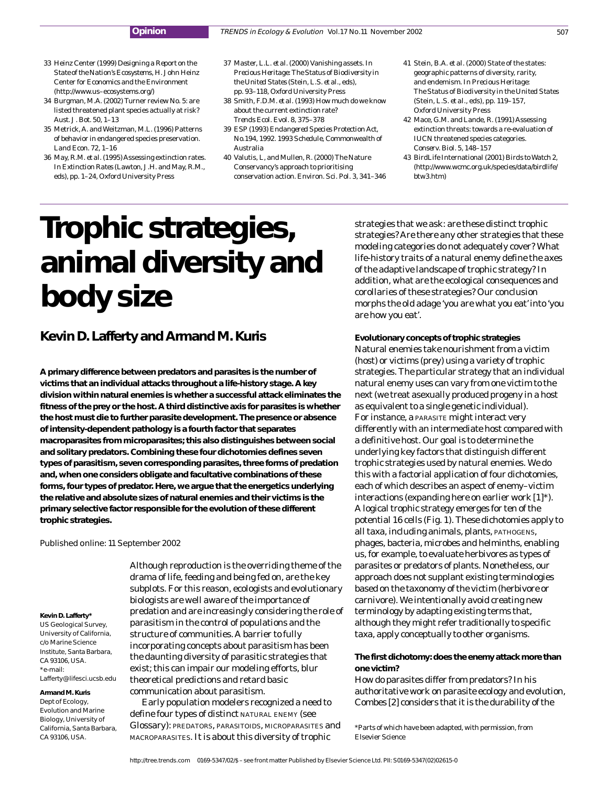- 33 Heinz Center (1999) *Designing a Report on the State of the Nation's Ecosystems,* H. John Heinz Center for Economics and the Environment (http://www.us–ecosystems.org/)
- 34 Burgman, M.A. (2002) Turner review No. 5: are listed threatened plant species actually at risk? *Aust. J. Bot*. 50, 1–13
- 35 Metrick, A. and Weitzman, M.L. (1996) Patterns of behavior in endangered species preservation. *Land Econ.* 72, 1–16
- 36 May, R.M. *et al.* (1995) Assessing extinction rates. In *Extinction Rates* (Lawton, J.H. and May, R.M., eds), pp. 1–24, Oxford University Press
- 37 Master, L.L. *et al.* (2000) Vanishing assets. In *Precious Heritage: The Status of Biodiversity in the United States* (Stein, L.S. *et al.*, eds), pp. 93–118, Oxford University Press
- 38 Smith, F.D.M. *et al.* (1993) How much do we know about the current extinction rate? *Trends Ecol. Evol.* 8, 375–378
- 39 ESP (1993) *Endangered Species Protection Act, No.194, 1992. 1993 Schedule,* Commonwealth of Australia
- 40 Valutis, L, and Mullen, R. (2000) The Nature Conservancy's approach to prioritising conservation action. *Environ. Sci. Pol.* 3, 341–346
- 41 Stein, B.A. *et al.* (2000) State of the states: geographic patterns of diversity, rarity, and endemism. In *Precious Heritage: The Status of Biodiversity in the United States* (Stein, L.S. *et al.,* eds), pp. 119–157, Oxford University Press
- 42 Mace, G.M. and Lande, R. (1991) Assessing extinction threats: towards a re-evaluation of IUCN threatened species categories. *Conserv. Biol.* 5, 148–157
- 43 BirdLife International (2001) *Birds to Watch 2*, (http://www.wcmc.org.uk/species/data/birdlife/ btw3.htm)

# **Trophic strategies, animal diversity and body size**

# **Kevin D. Lafferty and Armand M. Kuris**

**A primary difference between predators and parasites is the number of victims that an individual attacks throughout a life-history stage. A key division within natural enemies is whether a successful attack eliminates the fitness of the prey or the host. A third distinctive axis for parasites is whether the host must die to further parasite development. The presence or absence of intensity-dependent pathology is a fourth factor that separates macroparasites from microparasites; this also distinguishes between social and solitary predators. Combining these four dichotomies defines seven types of parasitism, seven corresponding parasites, three forms of predation and, when one considers obligate and facultative combinations of these forms, four types of predator. Here, we argue that the energetics underlying the relative and absolute sizes of natural enemies and their victims is the primary selective factor responsible for the evolution of these different trophic strategies.**

Published online: 11 September 2002

#### **Kevin D. Lafferty\***

US Geological Survey, University of California, c/o Marine Science Institute, Santa Barbara, CA 93106, USA. \*e-mail: Lafferty@lifesci.ucsb.edu

#### **Armand M. Kuris**

Dept of Ecology, Evolution and Marine Biology, University of California, Santa Barbara, CA 93106, USA.

Although reproduction is the overriding theme of the drama of life, feeding and being fed on, are the key subplots. For this reason, ecologists and evolutionary biologists are well aware of the importance of predation and are increasingly considering the role of parasitism in the control of populations and the structure of communities. A barrier to fully incorporating concepts about parasitism has been the daunting diversity of parasitic strategies that exist; this can impair our modeling efforts, blur theoretical predictions and retard basic communication about parasitism.

Early population modelers recognized a need to define four types of distinct NATURAL ENEMY (see Glossary): PREDATORS, PARASITOIDS, MICROPARASITES and MACROPARASITES. It is about this diversity of trophic

strategies that we ask: are these distinct trophic strategies? Are there any other strategies that these modeling categories do not adequately cover? What life-history traits of a natural enemy define the axes of the adaptive landscape of trophic strategy? In addition, what are the ecological consequences and corollaries of these strategies? Our conclusion morphs the old adage 'you are what you eat'into 'you are how you eat'.

**Evolutionary concepts of trophic strategies** Natural enemies take nourishment from a victim (host) or victims (prey) using a variety of trophic strategies. The particular strategy that an individual natural enemy uses can vary from one victim to the next (we treat asexually produced progeny in a host as equivalent to a single genetic individual). For instance, a PARASITE might interact very differently with an intermediate host compared with a definitive host. Our goal is to determine the underlying key factors that distinguish different trophic strategies used by natural enemies. We do this with a factorial application of four dichotomies, each of which describes an aspect of enemy–victim interactions (expanding here on earlier work [1]\*). A logical trophic strategy emerges for ten of the potential 16 cells (Fig. 1). These dichotomies apply to all taxa, including animals, plants, PATHOGENS, phages, bacteria, microbes and helminths, enabling us, for example, to evaluate herbivores as types of parasites or predators of plants. Nonetheless, our approach does not supplant existing terminologies based on the taxonomy of the victim (herbivore or carnivore). We intentionally avoid creating new terminology by adapting existing terms that, although they might refer traditionally to specific taxa, apply conceptually to other organisms.

**The first dichotomy: does the enemy attack more than one victim?**

How do parasites differ from predators? In his authoritative work on parasite ecology and evolution, Combes [2] considers that it is the durability of the

\*Parts of which have been adapted, with permission, from Elsevier Science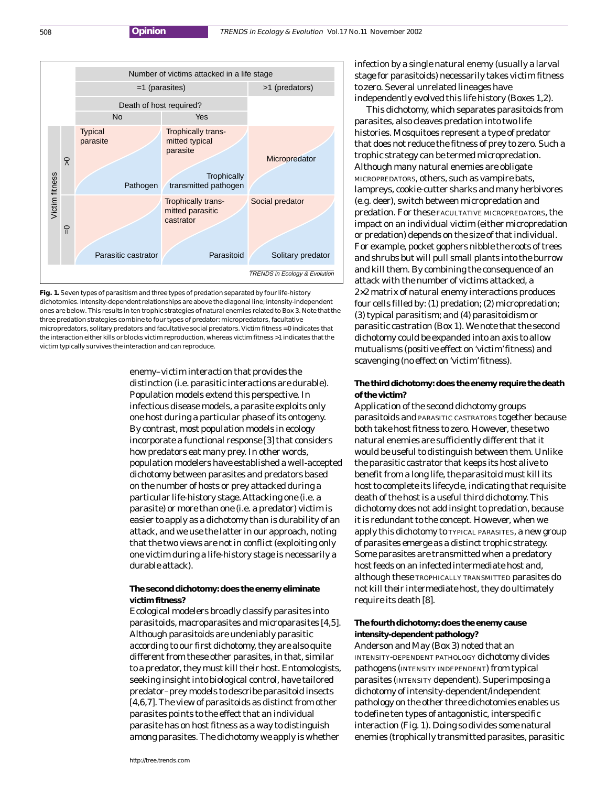

**Fig. 1.** Seven types of parasitism and three types of predation separated by four life-history dichotomies. Intensity-dependent relationships are above the diagonal line; intensity-independent ones are below. This results in ten trophic strategies of natural enemies related to Box 3. Note that the three predation strategies combine to four types of predator: micropredators, facultative micropredators, solitary predators and facultative social predators. Victim fitness = 0 indicates that the interaction either kills or blocks victim reproduction, whereas victim fitness >1 indicates that the victim typically survives the interaction and can reproduce.

enemy–victim interaction that provides the distinction (i.e. parasitic interactions are durable). Population models extend this perspective. In infectious disease models, a parasite exploits only one host during a particular phase of its ontogeny. By contrast, most population models in ecology incorporate a functional response [3] that considers how predators eat many prey. In other words, population modelers have established a well-accepted dichotomy between parasites and predators based on the number of hosts or prey attacked during a particular life-history stage. Attacking one (i.e. a parasite) or more than one (i.e. a predator) victim is easier to apply as a dichotomy than is durability of an attack, and we use the latter in our approach, noting that the two views are not in conflict (exploiting only one victim during a life-history stage is necessarily a durable attack).

## **The second dichotomy: does the enemy eliminate victim fitness?**

Ecological modelers broadly classify parasites into parasitoids, macroparasites and microparasites [4,5]. Although parasitoids are undeniably parasitic according to our first dichotomy, they are also quite different from these other parasites, in that, similar to a predator, they must kill their host. Entomologists, seeking insight into biological control, have tailored predator–prey models to describe parasitoid insects [4,6,7]. The view of parasitoids as distinct from other parasites points to the effect that an individual parasite has on host fitness as a way to distinguish among parasites. The dichotomy we apply is whether

infection by a single natural enemy (usually a larval stage for parasitoids) necessarily takes victim fitness to zero. Several unrelated lineages have independently evolved this life history (Boxes 1,2).

This dichotomy, which separates parasitoids from parasites, also cleaves predation into two life histories. Mosquitoes represent a type of predator that does not reduce the fitness of prey to zero. Such a trophic strategy can be termed micropredation. Although many natural enemies are obligate MICROPREDATORS, others, such as vampire bats, lampreys, cookie-cutter sharks and many herbivores (e.g. deer), switch between micropredation and predation. For these FACULTATIVE MICROPREDATORS, the impact on an individual victim (either micropredation or predation) depends on the size of that individual. For example, pocket gophers nibble the roots of trees and shrubs but will pull small plants into the burrow and kill them. By combining the consequence of an attack with the number of victims attacked, a 2×2 matrix of natural enemy interactions produces four cells filled by: (1) predation; (2) micropredation; (3) typical parasitism; and (4) parasitoidism or parasitic castration (Box 1). We note that the second dichotomy could be expanded into an axis to allow mutualisms (positive effect on 'victim'fitness) and scavenging (no effect on 'victim' fitness).

## **The third dichotomy: does the enemy require the death of the victim?**

Application of the second dichotomy groups parasitoids and PARASITIC CASTRATORS together because both take host fitness to zero. However, these two natural enemies are sufficiently different that it would be useful to distinguish between them. Unlike the parasitic castrator that keeps its host alive to benefit from a long life, the parasitoid must kill its host to complete its lifecycle, indicating that requisite death of the host is a useful third dichotomy. This dichotomy does not add insight to predation, because it is redundant to the concept. However, when we apply this dichotomy to TYPICAL PARASITES, a new group of parasites emerge as a distinct trophic strategy. Some parasites are transmitted when a predatory host feeds on an infected intermediate host and, although these TROPHICALLY TRANSMITTED parasites do not kill their intermediate host, they do ultimately require its death [8].

# **The fourth dichotomy: does the enemy cause intensity-dependent pathology?**

Anderson and May (Box 3) noted that an INTENSITY-DEPENDENT PATHOLOGY dichotomy divides pathogens (INTENSITY INDEPENDENT) from typical parasites (INTENSITY dependent). Superimposing a dichotomy of intensity-dependent/independent pathology on the other three dichotomies enables us to define ten types of antagonistic, interspecific interaction (Fig. 1). Doing so divides some natural enemies (trophically transmitted parasites, parasitic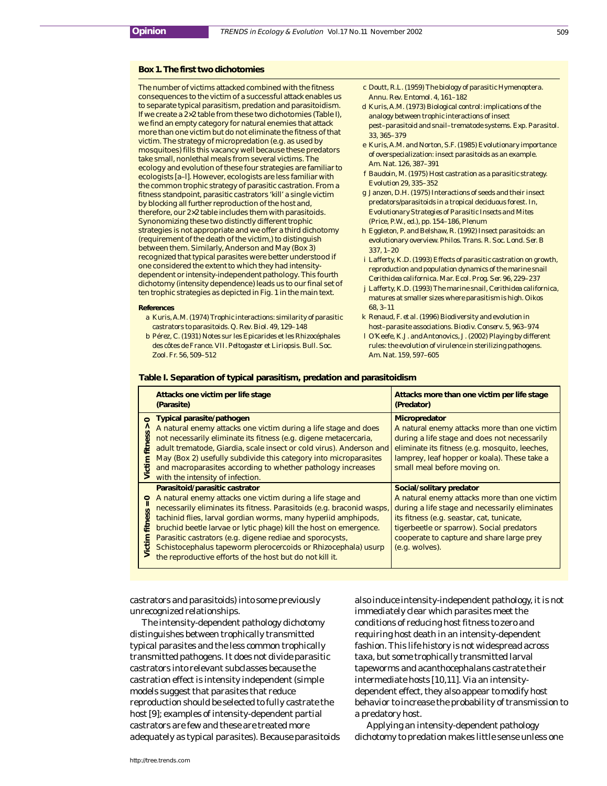#### **Box 1. The first two dichotomies**

The number of victims attacked combined with the fitness consequences to the victim of a successful attack enables us to separate typical parasitism, predation and parasitoidism. If we create a 2×2 table from these two dichotomies (Table I), we find an empty category for natural enemies that attack more than one victim but do not eliminate the fitness of that victim. The strategy of micropredation (e.g. as used by mosquitoes) fills this vacancy well because these predators take small, nonlethal meals from several victims. The ecology and evolution of these four strategies are familiar to ecologists [a–l]. However, ecologists are less familiar with the common trophic strategy of parasitic castration. From a fitness standpoint, parasitic castrators 'kill' a single victim by blocking all further reproduction of the host and, therefore, our 2×2 table includes them with parasitoids. Synonomizing these two distinctly different trophic strategies is not appropriate and we offer a third dichotomy (requirement of the death of the victim,) to distinguish between them. Similarly, Anderson and May (Box 3) recognized that typical parasites were better understood if one considered the extent to which they had intensitydependent or intensity-independent pathology. This fourth dichotomy (intensity dependence) leads us to our final set of ten trophic strategies as depicted in Fig. 1 in the main text.

#### **References**

- a Kuris, A.M. (1974) Trophic interactions: similarity of parasitic castrators to parasitoids. *Q. Rev. Biol.* 49, 129–148
- b Pérez, C. (1931) Notes sur les Epicarides et les Rhizocéphales des côtes de France. VII. *Peltogaster* et *Liriopsis*. *Bull. Soc. Zool. Fr.* 56, 509–512
- c Doutt, R.L. (1959) The biology of parasitic Hymenoptera. *Annu. Rev. Entomol.* 4, 161–182
- d Kuris, A.M. (1973) Biological control: implications of the analogy between trophic interactions of insect pest–parasitoid and snail–trematode systems. *Exp. Parasitol.* 33, 365–379
- e Kuris, A.M. and Norton, S.F. (1985) Evolutionary importance of overspecialization: insect parasitoids as an example. *Am. Nat.* 126, 387–391
- f Baudoin, M. (1975) Host castration as a parasitic strategy. *Evolution* 29, 335–352
- g Janzen, D.H. (1975) Interactions of seeds and their insect predators/parasitoids in a tropical deciduous forest*.* In, *Evolutionary Strategies of Parasitic Insects and Mites* (Price, P.W., ed.), pp. 154–186, Plenum
- h Eggleton, P. and Belshaw, R. (1992) Insect parasitoids: an evolutionary overview. *Philos. Trans. R. Soc. Lond. Ser. B* 337, 1–20
- i Lafferty, K.D. (1993) Effects of parasitic castration on growth, reproduction and population dynamics of the marine snail *Cerithidea californica*. *Mar. Ecol. Prog. Ser.* 96, 229–237
- j Lafferty, K.D. (1993) The marine snail, *Cerithidea californica*, matures at smaller sizes where parasitism is high. *Oikos* 68, 3–11
- k Renaud, F. *et al.* (1996) Biodiversity and evolution in host–parasite associations. *Biodiv. Conserv.* 5, 963–974
- l O'Keefe, K.J. and Antonovics, J. (2002) Playing by different rules: the evolution of virulence in sterilizing pathogens. *Am. Nat.* 159, 597–605

#### **Table I. Separation of typical parasitism, predation and parasitoidism**

|                               | Attacks one victim per life stage<br>(Parasite)                                                                                                                                                                                                                                                                                                                                                                                                                                                       | Attacks more than one victim per life stage<br>(Predator)                                                                                                                                                                                                                           |
|-------------------------------|-------------------------------------------------------------------------------------------------------------------------------------------------------------------------------------------------------------------------------------------------------------------------------------------------------------------------------------------------------------------------------------------------------------------------------------------------------------------------------------------------------|-------------------------------------------------------------------------------------------------------------------------------------------------------------------------------------------------------------------------------------------------------------------------------------|
| <b>E</b><br>Victim            | Typical parasite/pathogen<br>A natural enemy attacks one victim during a life stage and does<br>not necessarily eliminate its fitness (e.g. digene metacercaria,<br>adult trematode, Giardia, scale insect or cold virus). Anderson and<br>May (Box 2) usefully subdivide this category into microparasites<br>and macroparasites according to whether pathology increases<br>with the intensity of infection.                                                                                        | <b>Micropredator</b><br>A natural enemy attacks more than one victim<br>during a life stage and does not necessarily<br>eliminate its fitness (e.g. mosquito, leeches,<br>lamprey, leaf hopper or koala). These take a<br>small meal before moving on.                              |
| $\circ$<br>nes<br>롣<br>Victim | Parasitoid/parasitic castrator<br>A natural enemy attacks one victim during a life stage and<br>necessarily eliminates its fitness. Parasitoids (e.g. braconid wasps)<br>tachinid flies, larval gordian worms, many hyperiid amphipods,<br>bruchid beetle larvae or lytic phage) kill the host on emergence.<br>Parasitic castrators (e.g. digene rediae and sporocysts,<br>Schistocephalus tapeworm plerocercoids or Rhizocephala) usurp<br>the reproductive efforts of the host but do not kill it. | Social/solitary predator<br>A natural enemy attacks more than one victim<br>during a life stage and necessarily eliminates<br>its fitness (e.g. seastar, cat, tunicate,<br>tigerbeetle or sparrow). Social predators<br>cooperate to capture and share large prey<br>(e.g. wolves). |

castrators and parasitoids) into some previously unrecognized relationships.

The intensity-dependent pathology dichotomy distinguishes between trophically transmitted typical parasites and the less common trophically transmitted pathogens. It does not divide parasitic castrators into relevant subclasses because the castration effect is intensity independent (simple models suggest that parasites that reduce reproduction should be selected to fully castrate the host [9]; examples of intensity-dependent partial castrators are few and these are treated more adequately as typical parasites). Because parasitoids also induce intensity-independent pathology, it is not immediately clear which parasites meet the conditions of reducing host fitness to zero and requiring host death in an intensity-dependent fashion. This life history is not widespread across taxa, but some trophically transmitted larval tapeworms and acanthocephalans castrate their intermediate hosts [10,11]. Via an intensitydependent effect, they also appear to modify host behavior to increase the probability of transmission to a predatory host.

Applying an intensity-dependent pathology dichotomy to predation makes little sense unless one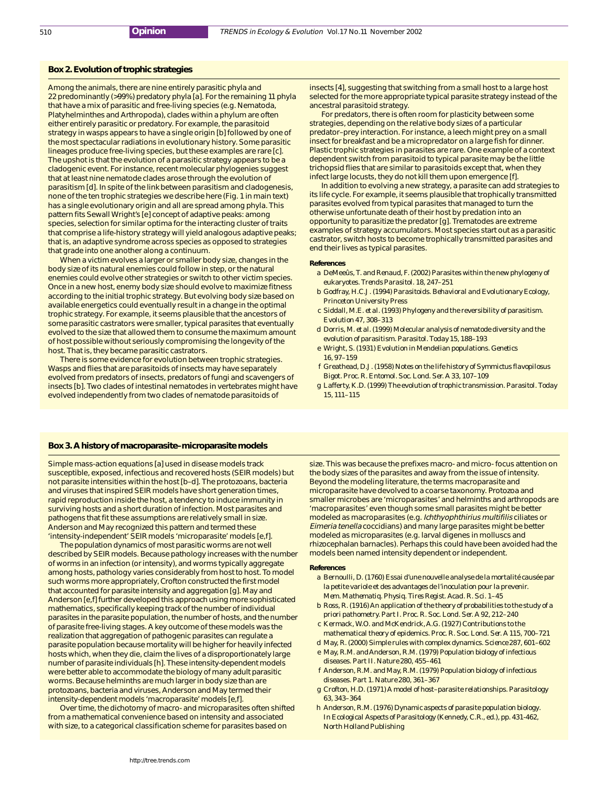#### **Box 2. Evolution of trophic strategies**

Among the animals, there are nine entirely parasitic phyla and 22 predominantly (>99%) predatory phyla [a]. For the remaining 11 phyla that have a mix of parasitic and free-living species (e.g. Nematoda, Platyhelminthes and Arthropoda), clades within a phylum are often either entirely parasitic or predatory. For example, the parasitoid strategy in wasps appears to have a single origin [b] followed by one of the most spectacular radiations in evolutionary history. Some parasitic lineages produce free-living species, but these examples are rare [c]. The upshot is that the evolution of a parasitic strategy appears to be a cladogenic event. For instance, recent molecular phylogenies suggest that at least nine nematode clades arose through the evolution of parasitism [d]. In spite of the link between parasitism and cladogenesis, none of the ten trophic strategies we describe here (Fig. 1 in main text) has a single evolutionary origin and all are spread among phyla. This pattern fits Sewall Wright's [e] concept of adaptive peaks: among species, selection for similar optima for the interacting cluster of traits that comprise a life-history strategy will yield analogous adaptive peaks; that is, an adaptive syndrome across species as opposed to strategies that grade into one another along a continuum.

When a victim evolves a larger or smaller body size, changes in the body size of its natural enemies could follow in step, or the natural enemies could evolve other strategies or switch to other victim species. Once in a new host, enemy body size should evolve to maximize fitness according to the initial trophic strategy. But evolving body size based on available energetics could eventually result in a change in the optimal trophic strategy. For example, it seems plausible that the ancestors of some parasitic castrators were smaller, typical parasites that eventually evolved to the size that allowed them to consume the maximum amount of host possible without seriously compromising the longevity of the host. That is, they became parasitic castrators.

There is some evidence for evolution between trophic strategies. Wasps and flies that are parasitoids of insects may have separately evolved from predators of insects, predators of fungi and scavengers of insects [b]. Two clades of intestinal nematodes in vertebrates might have evolved independently from two clades of nematode parasitoids of

insects [4], suggesting that switching from a small host to a large host selected for the more appropriate typical parasite strategy instead of the ancestral parasitoid strategy.

For predators, there is often room for plasticity between some strategies, depending on the relative body sizes of a particular predator–prey interaction. For instance, a leech might prey on a small insect for breakfast and be a micropredator on a large fish for dinner. Plastic trophic strategies in parasites are rare. One example of a context dependent switch from parasitoid to typical parasite may be the little trichopsid flies that are similar to parasitoids except that, when they infect large locusts, they do not kill them upon emergence [f].

In addition to evolving a new strategy, a parasite can add strategies to its life cycle. For example, it seems plausible that trophically transmitted parasites evolved from typical parasites that managed to turn the otherwise unfortunate death of their host by predation into an opportunity to parasitize the predator [g]. Trematodes are extreme examples of strategy accumulators. Most species start out as a parasitic castrator, switch hosts to become trophically transmitted parasites and end their lives as typical parasites.

#### **References**

- a DeMeeûs, T. and Renaud, F. (2002) Parasites within the new phylogeny of eukaryotes. *Trends Parasitol.* 18, 247–251
- b Godfray, H.C.J. (1994) *Parasitoids. Behavioral and Evolutionary Ecology*, Princeton University Press
- c Siddall, M.E. *et al.* (1993) Phylogeny and the reversibility of parasitism. *Evolution* 47, 308–313
- d Dorris, M. *et al.* (1999) Molecular analysis of nematode diversity and the evolution of parasitism. *Parasitol. Today* 15, 188–193
- e Wright, S. (1931) Evolution in Mendelian populations. *Genetics* 16, 97–159
- f Greathead, D.J. (1958) Notes on the life history of *Symmictus flavopilosus* Bigot. *Proc. R. Entomol. Soc. Lond. Ser. A* 33, 107–109
- g Lafferty, K.D. (1999) The evolution of trophic transmission. *Parasitol. Today* 15, 111–115

#### **Box 3. A history of macroparasite–microparasite models**

Simple mass-action equations [a] used in disease models track susceptible, exposed, infectious and recovered hosts (SEIR models) but not parasite intensities within the host [b–d]. The protozoans, bacteria and viruses that inspired SEIR models have short generation times, rapid reproduction inside the host, a tendency to induce immunity in surviving hosts and a short duration of infection. Most parasites and pathogens that fit these assumptions are relatively small in size. Anderson and May recognized this pattern and termed these 'intensity-independent' SEIR models 'microparasite' models [e,f].

The population dynamics of most parasitic worms are not well described by SEIR models. Because pathology increases with the number of worms in an infection (or intensity), and worms typically aggregate among hosts, pathology varies considerably from host to host. To model such worms more appropriately, Crofton constructed the first model that accounted for parasite intensity and aggregation [g]. May and Anderson [e,f] further developed this approach using more sophisticated mathematics, specifically keeping track of the number of individual parasites in the parasite population, the number of hosts, and the number of parasite free-living stages. A key outcome of these models was the realization that aggregation of pathogenic parasites can regulate a parasite population because mortality will be higher for heavily infected hosts which, when they die, claim the lives of a disproportionately large number of parasite individuals [h]. These intensity-dependent models were better able to accommodate the biology of many adult parasitic worms. Because helminths are much larger in body size than are protozoans, bacteria and viruses, Anderson and May termed their intensity-dependent models 'macroparasite' models [e,f].

Over time, the dichotomy of macro- and microparasites often shifted from a mathematical convenience based on intensity and associated with size, to a categorical classification scheme for parasites based on

size. This was because the prefixes macro- and micro- focus attention on the body sizes of the parasites and away from the issue of intensity. Beyond the modeling literature, the terms macroparasite and microparasite have devolved to a coarse taxonomy. Protozoa and smaller microbes are 'microparasites' and helminths and arthropods are 'macroparasites' even though some small parasites might be better modeled as macroparasites (e.g. Ichthyophthirius multifilis ciliates or Eimeria tenella coccidians) and many large parasites might be better modeled as microparasites (e.g. larval digenes in molluscs and rhizocephalan barnacles). Perhaps this could have been avoided had the models been named intensity dependent or independent.

#### **References**

- a Bernoulli, D. (1760) Essai d'une nouvelle analyse de la mortalité causée par la petite variole et des advantages de l'inoculation pour la prevenir. *Mem. Mathematiq. Physiq. Tires Regist. Acad. R. Sci.* 1–45
- b Ross, R. (1916) An application of the theory of probabilities to the study of a priori pathometry. Part I. *Proc. R. Soc. Lond. Ser. A* 92, 212–240
- c Kermack, W.O. and McKendrick, A.G. (1927) Contributions to the mathematical theory of epidemics. *Proc. R. Soc. Lond. Ser. A* 115, 700–721
- d May, R. (2000) Simple rules with complex dynamics. *Science* 287, 601–602
- e May, R.M. and Anderson, R.M. (1979) Population biology of infectious diseases. Part II. *Nature* 280, 455–461
- f Anderson, R.M. and May, R.M. (1979) Population biology of infectious diseases. Part 1. *Nature* 280, 361–367
- g Crofton, H.D. (1971) A model of host–parasite relationships. *Parasitology* 63, 343–364
- h Anderson, R.M. (1976) Dynamic aspects of parasite population biology*.* In *Ecological Aspects of Parasitology* (Kennedy, C.R., ed.), pp. 431-462, North Holland Publishing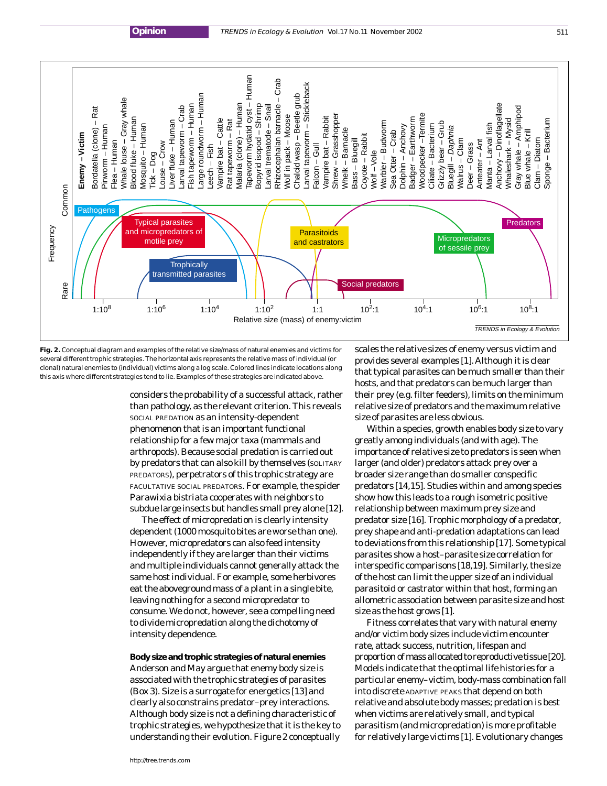

**Fig. 2.** Conceptual diagram and examples of the relative size/mass of natural enemies and victims for several different trophic strategies. The horizontal axis represents the relative mass of individual (or clonal) natural enemies to (individual) victims along a log scale. Colored lines indicate locations along this axis where different strategies tend to lie. Examples of these strategies are indicated above.

considers the probability of a successful attack, rather than pathology, as the relevant criterion. This reveals SOCIAL PREDATION as an intensity-dependent phenomenon that is an important functional relationship for a few major taxa (mammals and arthropods). Because social predation is carried out by predators that can also kill by themselves (SOLITARY PREDATORS), perpetrators of this trophic strategy are FACULTATIVE SOCIAL PREDATORS. For example, the spider *Parawixia bistriata* cooperates with neighbors to subdue large insects but handles small prey alone [12].

The effect of micropredation is clearly intensity dependent (1000 mosquito bites are worse than one). However, micropredators can also feed intensity independently if they are larger than their victims and multiple individuals cannot generally attack the same host individual. For example, some herbivores eat the aboveground mass of a plant in a single bite, leaving nothing for a second micropredator to consume. We do not, however, see a compelling need to divide micropredation along the dichotomy of intensity dependence.

**Body size and trophic strategies of natural enemies** Anderson and May argue that enemy body size is associated with the trophic strategies of parasites (Box 3). Size is a surrogate for energetics [13] and clearly also constrains predator–prey interactions. Although body size is not a defining characteristic of trophic strategies, we hypothesize that it is the key to understanding their evolution. Figure 2 conceptually scales the relative sizes of enemy versus victim and provides several examples [1]. Although it is clear that typical parasites can be much smaller than their hosts, and that predators can be much larger than their prey (e.g. filter feeders), limits on the minimum relative size of predators and the maximum relative size of parasites are less obvious.

Within a species, growth enables body size to vary greatly among individuals (and with age). The importance of relative size to predators is seen when larger (and older) predators attack prey over a broader size range than do smaller conspecific predators [14,15]. Studies within and among species show how this leads to a rough isometric positive relationship between maximum prey size and predator size [16]. Trophic morphology of a predator, prey shape and anti-predation adaptations can lead to deviations from this relationship [17]. Some typical parasites show a host–parasite size correlation for interspecific comparisons [18,19]. Similarly, the size of the host can limit the upper size of an individual parasitoid or castrator within that host, forming an allometric association between parasite size and host size as the host grows [1].

Fitness correlates that vary with natural enemy and/or victim body sizes include victim encounter rate, attack success, nutrition, lifespan and proportion of mass allocated to reproductive tissue [20]. Models indicate that the optimal life histories for a particular enemy–victim, body-mass combination fall into discrete ADAPTIVE PEAKS that depend on both relative and absolute body masses; predation is best when victims are relatively small, and typical parasitism (and micropredation) is more profitable for relatively large victims [1]. Evolutionary changes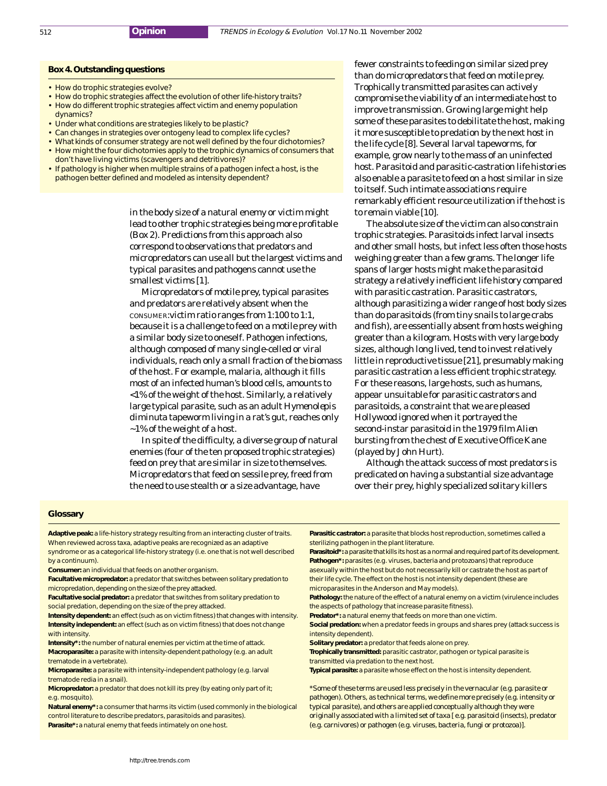#### **Box 4. Outstanding questions**

- How do trophic strategies evolve?
- How do trophic strategies affect the evolution of other life-history traits?
- How do different trophic strategies affect victim and enemy population dynamics?
- Under what conditions are strategies likely to be plastic?
- Can changes in strategies over ontogeny lead to complex life cycles?
- What kinds of consumer strategy are not well defined by the four dichotomies? • How might the four dichotomies apply to the trophic dynamics of consumers that
- don't have living victims (scavengers and detritivores)? • If pathology is higher when multiple strains of a pathogen infect a host, is the
- pathogen better defined and modeled as intensity dependent?

in the body size of a natural enemy or victim might lead to other trophic strategies being more profitable (Box 2). Predictions from this approach also correspond to observations that predators and micropredators can use all but the largest victims and typical parasites and pathogens cannot use the smallest victims [1].

Micropredators of motile prey, typical parasites and predators are relatively absent when the CONSUMER:victim ratio ranges from 1:100 to 1:1, because it is a challenge to feed on a motile prey with a similar body size to oneself. Pathogen infections, although composed of many single-celled or viral individuals, reach only a small fraction of the biomass of the host. For example, malaria, although it fills most of an infected human's blood cells, amounts to <1% of the weight of the host. Similarly, a relatively large typical parasite, such as an adult *Hymenolepis diminuta* tapeworm living in a rat's gut, reaches only  $\sim$ 1% of the weight of a host.

In spite of the difficulty, a diverse group of natural enemies (four of the ten proposed trophic strategies) feed on prey that are similar in size to themselves. Micropredators that feed on sessile prey, freed from the need to use stealth or a size advantage, have

fewer constraints to feeding on similar sized prey than do micropredators that feed on motile prey. Trophically transmitted parasites can actively compromise the viability of an intermediate host to improve transmission. Growing large might help some of these parasites to debilitate the host, making it more susceptible to predation by the next host in the life cycle [8]. Several larval tapeworms, for example, grow nearly to the mass of an uninfected host. Parasitoid and parasitic-castration life histories also enable a parasite to feed on a host similar in size to itself. Such intimate associations require remarkably efficient resource utilization if the host is to remain viable [10].

The absolute size of the victim can also constrain trophic strategies. Parasitoids infect larval insects and other small hosts, but infect less often those hosts weighing greater than a few grams. The longer life spans of larger hosts might make the parasitoid strategy a relatively inefficient life history compared with parasitic castration. Parasitic castrators, although parasitizing a wider range of host body sizes than do parasitoids (from tiny snails to large crabs and fish), are essentially absent from hosts weighing greater than a kilogram. Hosts with very large body sizes, although long lived, tend to invest relatively little in reproductive tissue [21], presumably making parasitic castration a less efficient trophic strategy. For these reasons, large hosts, such as humans, appear unsuitable for parasitic castrators and parasitoids, a constraint that we are pleased Hollywood ignored when it portrayed the second-instar parasitoid in the 1979 film *Alien* bursting from the chest of Executive Office Kane (played by John Hurt).

Although the attack success of most predators is predicated on having a substantial size advantage over their prey, highly specialized solitary killers

#### **Glossary**

**Adaptive peak:** a life-history strategy resulting from an interacting cluster of traits. When reviewed across taxa, adaptive peaks are recognized as an adaptive syndrome or as a categorical life-history strategy (i.e. one that is not well described by a continuum).

**Consumer:** an individual that feeds on another organism.

- **Facultative micropredator:** a predator that switches between solitary predation to micropredation, depending on the size of the prey attacked.
- **Facultative social predator:** a predator that switches from solitary predation to social predation, depending on the size of the prey attacked.
- **Intensity dependent:** an effect (such as on victim fitness) that changes with intensity. **Intensity independent:** an effect (such as on victim fitness) that does not change with intensity.

**Intensity\*:** the number of natural enemies per victim at the time of attack. **Macroparasite:** a parasite with intensity-dependent pathology (e.g. an adult trematode in a vertebrate).

**Microparasite:** a parasite with intensity-independent pathology (e.g. larval trematode redia in a snail).

**Micropredator:** a predator that does not kill its prey (by eating only part of it; e.g. mosquito).

**Natural enemy\*:** a consumer that harms its victim (used commonly in the biological control literature to describe predators, parasitoids and parasites). **Parasite\*:** a natural enemy that feeds intimately on one host.

**Parasitic castrator:** a parasite that blocks host reproduction, sometimes called a sterilizing pathogen in the plant literature.

**Parasitoid\*:** a parasite that kills its host as a normal and required part of its development. **Pathogen\*:** parasites (e.g. viruses, bacteria and protozoans) that reproduce asexually within the host but do not necessarily kill or castrate the host as part of their life cycle. The effect on the host is not intensity dependent (these are microparasites in the Anderson and May models).

**Pathology:** the nature of the effect of a natural enemy on a victim (virulence includes the aspects of pathology that increase parasite fitness).

**Predator\*:** a natural enemy that feeds on more than one victim.

**Social predation:** when a predator feeds in groups and shares prey (attack success is intensity dependent).

**Solitary predator:** a predator that feeds alone on prey.

**Trophically transmitted:** parasitic castrator, pathogen or typical parasite is transmitted via predation to the next host.

**Typical parasite:** a parasite whose effect on the host is intensity dependent.

\*Some of these terms are used less precisely in the vernacular (e.g. parasite or pathogen). Others, as technical terms, we define more precisely (e.g. intensity or typical parasite), and others are applied conceptually although they were originally associated with a limited set of taxa [ e.g. parasitoid (insects), predator (e.g. carnivores) or pathogen (e.g. viruses, bacteria, fungi or protozoa)].